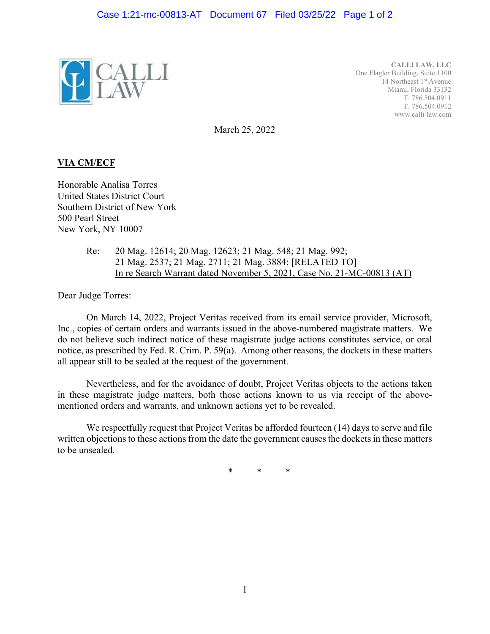

**CALLI LAW, LLC**  One Flagler Building, Suite 1100 14 Northeast 1<sup>st</sup> Avenue Miami, Florida 33132 T. 786.504.0911 F. 786.504.0912 www.calli-law.com

March 25, 2022

## **VIA CM/ECF**

Honorable Analisa Torres United States District Court Southern District of New York 500 Pearl Street New York, NY 10007

> Re: 20 Mag. 12614; 20 Mag. 12623; 21 Mag. 548; 21 Mag. 992; 21 Mag. 2537; 21 Mag. 2711; 21 Mag. 3884; [RELATED TO] In re Search Warrant dated November 5, 2021, Case No. 21-MC-00813 (AT)

Dear Judge Torres:

On March 14, 2022, Project Veritas received from its email service provider, Microsoft, Inc., copies of certain orders and warrants issued in the above-numbered magistrate matters. We do not believe such indirect notice of these magistrate judge actions constitutes service, or oral notice, as prescribed by Fed. R. Crim. P. 59(a). Among other reasons, the dockets in these matters all appear still to be sealed at the request of the government.

Nevertheless, and for the avoidance of doubt, Project Veritas objects to the actions taken in these magistrate judge matters, both those actions known to us via receipt of the abovementioned orders and warrants, and unknown actions yet to be revealed.

We respectfully request that Project Veritas be afforded fourteen (14) days to serve and file written objections to these actions from the date the government causes the dockets in these matters to be unsealed.

\* \* \*